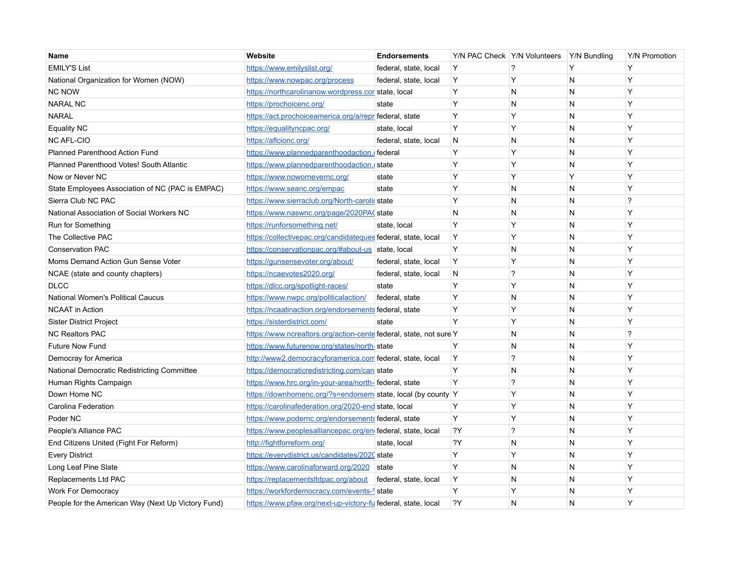| Name                                               | Website                                                            | <b>Endorsements</b>   |              | Y/N PAC Check   Y/N Volunteers   Y/N Bundling |   | <b>Y/N Promotion</b>     |
|----------------------------------------------------|--------------------------------------------------------------------|-----------------------|--------------|-----------------------------------------------|---|--------------------------|
| <b>EMILY'S List</b>                                | https://www.emilyslist.org/                                        | federal, state, local | <b>Y</b>     | ?                                             | Y | Y                        |
| National Organization for Women (NOW)              | https://www.nowpac.org/process                                     | federal, state, local | Y            | Y                                             | N | Y                        |
| <b>NC NOW</b>                                      | https://northcarolinanow.wordpress.cor state, local                |                       | Y            | N                                             | N | Y                        |
| <b>NARAL NC</b>                                    | https://prochoicenc.org/                                           | state                 | Y            | N                                             | N | Y                        |
| <b>NARAL</b>                                       | https://act.prochoiceamerica.org/a/repr federal, state             |                       | <b>Y</b>     | Y                                             | N | Y                        |
| <b>Equality NC</b>                                 | https://equalityncpac.org/                                         | state, local          | <b>Y</b>     | Y                                             | N | Y                        |
| <b>NC AFL-CIO</b>                                  | https://aflcionc.org/                                              | federal, state, local | <b>N</b>     | N                                             | N | Y                        |
| Planned Parenthood Action Fund                     | https://www.plannedparenthoodaction.cfederal                       |                       | Y            | Y                                             | N | Y                        |
| Planned Parenthood Votes! South Atlantic           | https://www.plannedparenthoodaction.cstate                         |                       | Y            | Y                                             | N | Y                        |
| Now or Never NC                                    | https://www.nowornevernc.org/                                      | state                 | Y            | Y                                             | Y | Y                        |
| State Employees Association of NC (PAC is EMPAC)   | https://www.seanc.org/empac                                        | state                 | Y            | N                                             | N | Y                        |
| Sierra Club NC PAC                                 | https://www.sierraclub.org/North-carolir state                     |                       | Y            | N                                             | N | ?                        |
| National Association of Social Workers NC          | https://www.naswnc.org/page/2020PAC state                          |                       | N            | N                                             | N | Y                        |
| Run for Something                                  | https://runforsomething.net/                                       | state, local          | Υ            | Y                                             | N | Y                        |
| The Collective PAC                                 | https://collectivepac.org/candidateques federal, state, local      |                       | $\mathsf{Y}$ | Y                                             | N | Y                        |
| <b>Conservation PAC</b>                            | https://conservationpac.org/#about-us state, local                 |                       | Y            | N                                             | N | Y                        |
| Moms Demand Action Gun Sense Voter                 | https://gunsensevoter.org/about/                                   | federal, state, local | $\mathsf{Y}$ | Y                                             | N | Y                        |
| NCAE (state and county chapters)                   | https://ncaevotes2020.org/                                         | federal, state, local | N            | ?                                             | N | Y                        |
| <b>DLCC</b>                                        | https://dlcc.org/spotlight-races/                                  | state                 | Y            | Y                                             | N | Y                        |
| National Women's Political Caucus                  | https://www.nwpc.org/politicalaction/                              | federal, state        | Y            | N                                             | N | Y                        |
| <b>NCAAT in Action</b>                             | https://ncaatinaction.org/endorsements federal, state              |                       | Y            | Y                                             | N | Y                        |
| <b>Sister District Project</b>                     | https://sisterdistrict.com/                                        | state                 | Y            | Y                                             | N | Y                        |
| <b>NC Realtors PAC</b>                             | https://www.ncrealtors.org/action-cente federal, state, not sure Y |                       |              | N                                             | N | $\overline{\phantom{0}}$ |
| <b>Future Now Fund</b>                             | https://www.futurenow.org/states/north-state                       |                       | Y            | Ν                                             | N | Y                        |
| Democray for America                               | http://www2.democracyforamerica.com federal, state, local          |                       | ΙY           | ?                                             | N | Y                        |
| National Democratic Redistricting Committee        | https://democraticredistricting.com/can state                      |                       | Y            | N                                             | N | Y                        |
| Human Rights Campaign                              | https://www.hrc.org/in-your-area/north-federal, state              |                       | Y            | ?                                             | N | Y                        |
| Down Home NC                                       | https://downhomenc.org/?s=endorsem state, local (by county Y       |                       |              | Y                                             | N | Y                        |
| Carolina Federation                                | https://carolinafederation.org/2020-end state, local               |                       | Y            | Y                                             | N | Y                        |
| Poder NC                                           | https://www.podernc.org/endorsements federal, state                |                       | <b>Y</b>     | Y                                             | N | Y                        |
| People's Alliance PAC                              | https://www.peoplesalliancepac.org/en federal, state, local        |                       | 2Y           | ?                                             | N | Y                        |
| End Citizens United (Fight For Reform)             | http://fightforreform.org/                                         | state, local          | ?Y           | N                                             | N | Y                        |
| <b>Every District</b>                              | https://everydistrict.us/candidates/2020 state                     |                       | Y            | Y                                             | N | Y                        |
| Long Leaf Pine Slate                               | https://www.carolinaforward.org/2020 state                         |                       | Y            | N                                             | N | Y                        |
| Replacements Ltd PAC                               | https://replacementsltdpac.org/about                               | federal, state, local | Y            | $\mathsf{N}$                                  | N | Y                        |
| <b>Work For Democracy</b>                          | https://workfordemocracy.com/events-9 state                        |                       | <b>Y</b>     | Y                                             | N | Y                        |
| People for the American Way (Next Up Victory Fund) | https://www.pfaw.org/next-up-victory-fu federal, state, local      |                       | 2Y           | N                                             | N | Y                        |